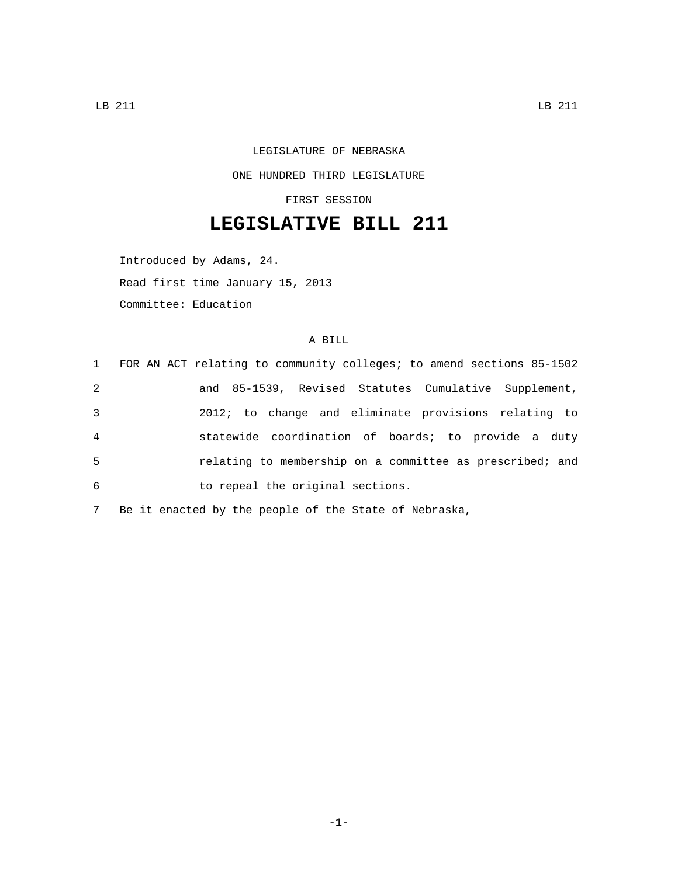## LEGISLATURE OF NEBRASKA ONE HUNDRED THIRD LEGISLATURE

FIRST SESSION

## **LEGISLATIVE BILL 211**

Introduced by Adams, 24. Read first time January 15, 2013 Committee: Education

## A BILL

|                | 1 FOR AN ACT relating to community colleges; to amend sections 85-1502 |
|----------------|------------------------------------------------------------------------|
| 2              | and 85-1539, Revised Statutes Cumulative Supplement,                   |
| 3              | 2012; to change and eliminate provisions relating to                   |
| $\overline{4}$ | statewide coordination of boards; to provide a duty                    |
| 5              | relating to membership on a committee as prescribed; and               |
| 6              | to repeal the original sections.                                       |
|                |                                                                        |

7 Be it enacted by the people of the State of Nebraska,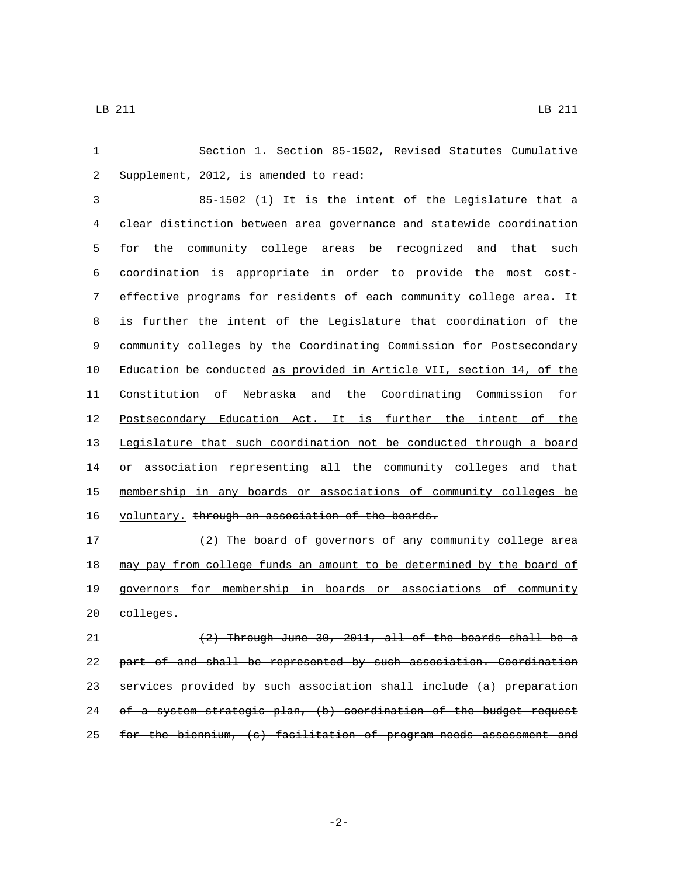Section 1. Section 85-1502, Revised Statutes Cumulative 2 Supplement, 2012, is amended to read:

 85-1502 (1) It is the intent of the Legislature that a clear distinction between area governance and statewide coordination for the community college areas be recognized and that such coordination is appropriate in order to provide the most cost- effective programs for residents of each community college area. It is further the intent of the Legislature that coordination of the community colleges by the Coordinating Commission for Postsecondary Education be conducted as provided in Article VII, section 14, of the Constitution of Nebraska and the Coordinating Commission for Postsecondary Education Act. It is further the intent of the Legislature that such coordination not be conducted through a board 14 or association representing all the community colleges and that membership in any boards or associations of community colleges be 16 voluntary. through an association of the boards.

 (2) The board of governors of any community college area 18 may pay from college funds an amount to be determined by the board of governors for membership in boards or associations of community 20 colleges.

 $(2)$  Through June 30, 2011, all of the boards shall be a part of and shall be represented by such association. Coordination services provided by such association shall include (a) preparation 24 of a system strategic plan, (b) coordination of the budget request for the biennium, (c) facilitation of program-needs assessment and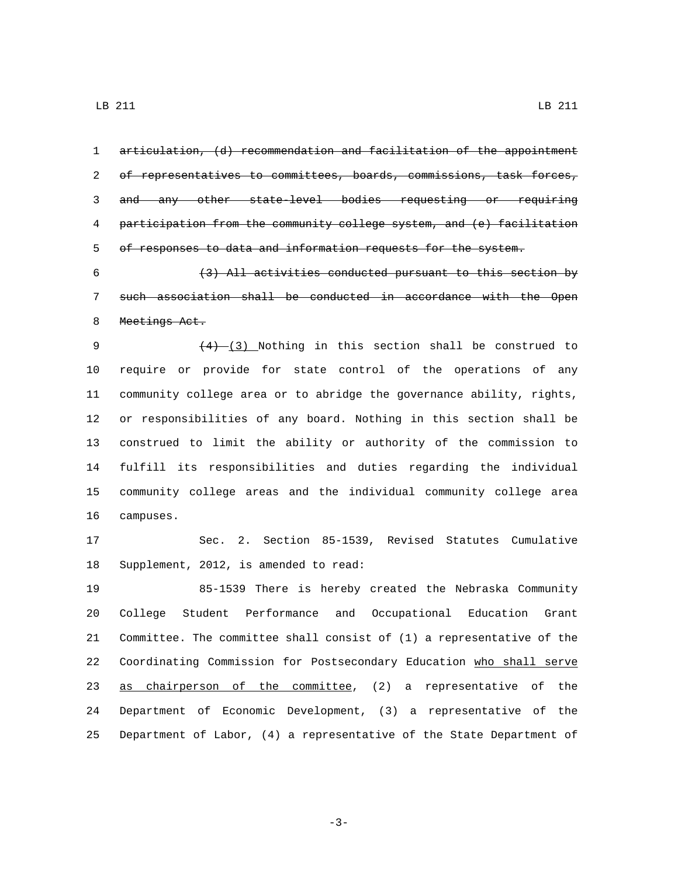articulation, (d) recommendation and facilitation of the appointment of representatives to committees, boards, commissions, task forces, and any other state-level bodies requesting or requiring participation from the community college system, and (e) facilitation of responses to data and information requests for the system.  $(3)$  All activities conducted pursuant to this section by such association shall be conducted in accordance with the Open 8 Meetings Act.  $(4)$   $(3)$  Nothing in this section shall be construed to require or provide for state control of the operations of any community college area or to abridge the governance ability, rights, or responsibilities of any board. Nothing in this section shall be construed to limit the ability or authority of the commission to fulfill its responsibilities and duties regarding the individual community college areas and the individual community college area 16 campuses. Sec. 2. Section 85-1539, Revised Statutes Cumulative 18 Supplement, 2012, is amended to read: 85-1539 There is hereby created the Nebraska Community College Student Performance and Occupational Education Grant Committee. The committee shall consist of (1) a representative of the Coordinating Commission for Postsecondary Education who shall serve 23 as chairperson of the committee, (2) a representative of the Department of Economic Development, (3) a representative of the Department of Labor, (4) a representative of the State Department of

-3-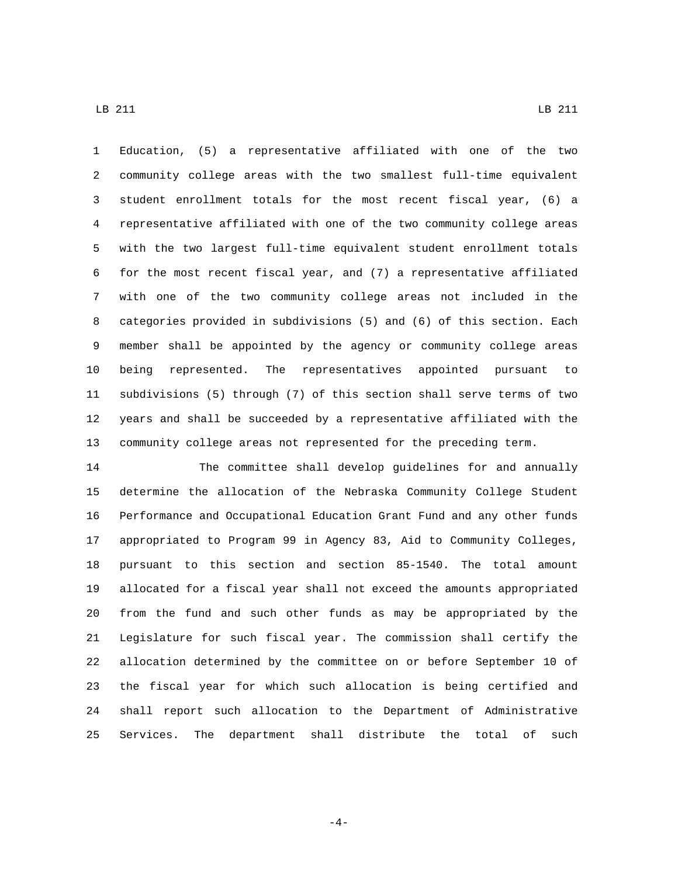Education, (5) a representative affiliated with one of the two community college areas with the two smallest full-time equivalent student enrollment totals for the most recent fiscal year, (6) a representative affiliated with one of the two community college areas with the two largest full-time equivalent student enrollment totals for the most recent fiscal year, and (7) a representative affiliated with one of the two community college areas not included in the categories provided in subdivisions (5) and (6) of this section. Each member shall be appointed by the agency or community college areas being represented. The representatives appointed pursuant to subdivisions (5) through (7) of this section shall serve terms of two years and shall be succeeded by a representative affiliated with the community college areas not represented for the preceding term.

 The committee shall develop guidelines for and annually determine the allocation of the Nebraska Community College Student Performance and Occupational Education Grant Fund and any other funds appropriated to Program 99 in Agency 83, Aid to Community Colleges, pursuant to this section and section 85-1540. The total amount allocated for a fiscal year shall not exceed the amounts appropriated from the fund and such other funds as may be appropriated by the Legislature for such fiscal year. The commission shall certify the allocation determined by the committee on or before September 10 of the fiscal year for which such allocation is being certified and shall report such allocation to the Department of Administrative Services. The department shall distribute the total of such

-4-